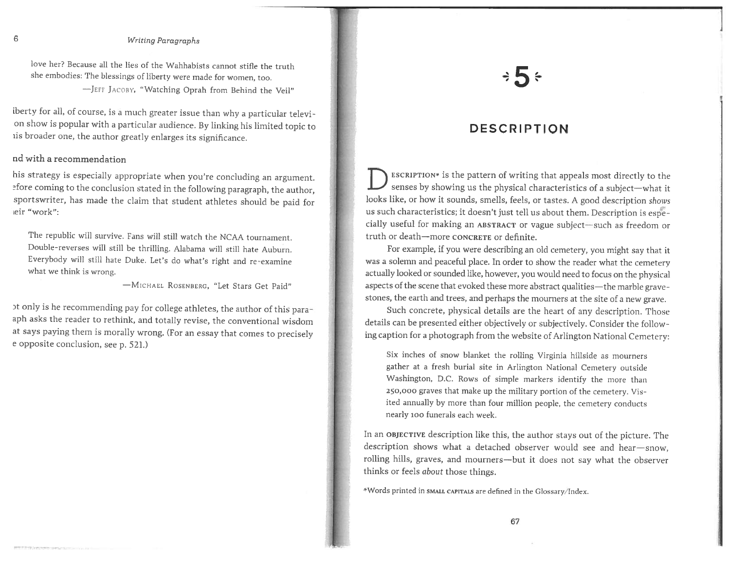#### Writing Paragraphs

love her? Because all the lies of the Wahhabists cannot stifle the truth she embodies: The blessings of liberty were made for women, too. -JEFF JACOBY, "Watching Oprah from Behind the Veil"

iberty for all, of course, is <sup>a</sup> much greater issue than why <sup>a</sup> particular televi on show is popular with <sup>a</sup> particular audience. By linking his limited topic to is broader one, the author greatly enlarges its significance.

#### nd with a recommendation

his strategy is especially appropriate when you're concluding an argument. fore coming to the conclusion stated in the following paragraph, the author, sportswriter, has made the claim that student athletes should be paid for eir "work":

The republic will survive. fans will still watch the NCAA tournament. Double-reverses will still be thrilling. Alabama will still hate Auburn. Everybody will still hate Duke. Let's do what's right and re-examine what we think is wrong.

—MIcHAEl, ROSENBERC, "Let Stars Get Paid"

<sup>t</sup> only is he recommending pay for college athletes, the author of this para ap<sup>h</sup> asks the reader to rethink, and totally revise, the conventional wisdom at says paying them is morally wrong. (For an essay that comes to precisely <sup>e</sup> opposite conclusion, see p. 521.)

# $\rightarrow$  5  $\leftarrow$

]

# **DESCRIPTION**

ESCRIPTION\* is the pattern of writing that appeals most directly to the senses by showing us the physical characteristics of a subject—what it looks like, or how it sounds, smells, feels, or tastes. <sup>A</sup> good description shows us such characteristics; it doesn't just tell us about them. Description is espe cially useful for making an ABSTRACT or vague subject—such as freedom or truth or death—more CONCRETE or definite.

For example, if you were describing an old cemetery, you might say that it was <sup>a</sup> solemn and peaceful <sup>p</sup>lace. In order to show the reader what the cemetery actually looked or sounded like, however, you would need to focus on the <sup>p</sup>hysical aspects of the scene that evoked these more abstract qualities—the marble grave stones, the earth and trees, and perhaps the mourners at the site of <sup>a</sup> new grave.

Such concrete, <sup>p</sup>hysical details are the heart of any description. Those details can be presented either objectively or subjectively. Consider the follow ing caption for <sup>a</sup> <sup>p</sup>hotograph from the website of Arlington National Cemetery:

Six inches of snow blanket the rolling Virginia hillside as mourners gather at <sup>a</sup> fresh burial site in Arlington National Cemetery outside Washington, D.C. Rows of simple markers identify the more than 250,000 graves that make up the military portion of the cemetery. Vis ited annually by more than four million people, the cemetery conducts nearly <sup>100</sup> funerals each week.

In an OBJECTIVE description like this, the author stays out of the <sup>p</sup>icture. The description shows what <sup>a</sup> detached observer would see and hear—snow, rolling hills, graves, and mourners—but it does not say what the observer thinks or feels about those things.

Words printed in SMALL CAPITALS are defined in the Glossary/Index.

6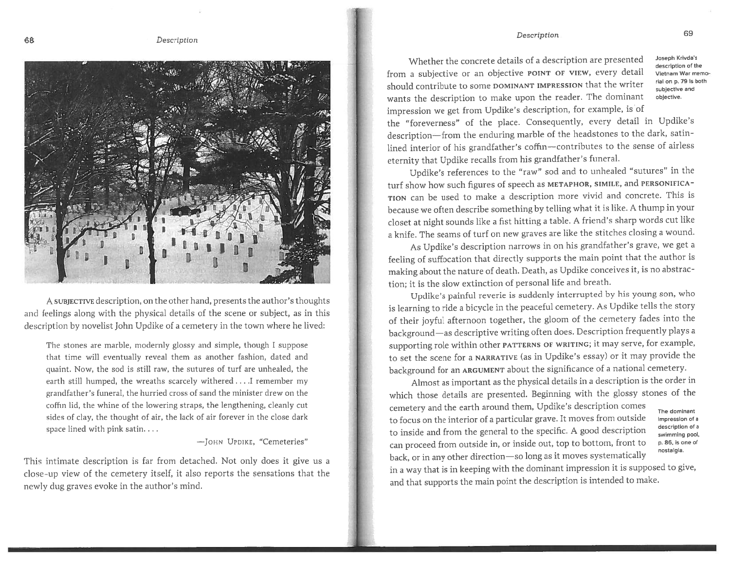#### Description <sup>69</sup>

68 Description



A SUBJECTIVE description, on the other hand, presents the author's thoughts and feelings along with the physical details of the scene or subject, as in this description by novelist John Updike of <sup>a</sup> cemetery in the town where he lived:

The stones are marble, modernly glossy and simple, though I suppose that time will eventually reveal them as another fashion, dated and quaint. Now, the sod is still raw, the sutures of turf are unhealed, the earth still humped, the wreaths scarcely withered . . . I remember my grandfather's funeral, the hurried cross of sand the minister drew on the coffin lid, the whine of the lowering straps, the lengthening, cleanly cut sides of clay, the thought of air, the lack of air forever in the close dark space lined with pink satin....

—JoHN UPPIKE, "Cemeteries"

This intimate description is far from detached. Not only does it give us <sup>a</sup> close-up view of the cemetery itself, it also reports the sensations that the newly dug graves evoke in the author's mind.

Whether the concrete details of a description are presented Joseph Krivda's from <sup>a</sup> subjective or an objective POINT Of VIEW, every detail Vietnam War memoshould contribute to some DOMINANT IMPRESSION that the writer rial on p. 79 is both contribute to some DOMINANT IMPRESSION that the writer wants the description to make upon the reader. The dominant objective. impression we ge<sup>t</sup> from Updike's description, for example, is of

the "foreverness" of the <sup>p</sup>lace. Consequently, every detail in Updike's description—from the enduring marble of the headstones to the dark, satinlined interior of his grandfather's coffin—contributes to the sense of airless eternity that Updike recalls from his grandfather's funeral.

Updike's references to the "raw" sod and to unhealed "sutures" in the turf show how such figures of speec<sup>h</sup> as METAPHOR, SIMILE, and PERSONIFICA TION can be used to make <sup>a</sup> description more vivid and concrete. This is because we often describe something by telling what it is like. A thump in your closet at night sounds like <sup>a</sup> fist hitting <sup>a</sup> table. A friend's sharp words cut like <sup>a</sup> knife. The seams of turf on new graves are like the stitches closing <sup>a</sup> wound.

As Updike's description narrows in on his grandfather's grave, we ge<sup>t</sup> <sup>a</sup> feeling of suffocation that directly supports the main point that the author is making about the nature of death. Death, as Updike conceives it, is no abstrac tion; it is the slow extinction of persona<sup>l</sup> life and breath.

Updike's painful reverie is suddenly interrupted by his young son, who is learning to ride <sup>a</sup> bicycle in the peaceful cemetery. As Updike tells the story of their joyful afternoon together, the <sup>g</sup>loom of the cemetery fades into the background—as descriptive writing often does. Description frequently <sup>p</sup>lays <sup>a</sup> supporting role within other PATTERNS OF WRITING; it may serve, for example, to set the scene for <sup>a</sup> NARRATIVE (as in Updike's essay) or it may provide the background for an ARGUMENT about the significance of <sup>a</sup> national cemetery.

Almost as important as the <sup>p</sup>hysical details in <sup>a</sup> description is the order in which those details are presented. Beginning with the <sup>g</sup>lossy stones of the cemetery and the earth around them, Updike's description comes to focus on the interior of a particular grave. It moves from outside impression of a to inside and from the general to the specific. A good description algostription of a can proceed from outside in, or inside out, top to bottom, front to p. 86, is one of

in <sup>a</sup> way that is in keeping with the dominant impression it is suppose<sup>d</sup> to <sup>g</sup>ive, and that supports the main point the description is intended to make.

back, or in any other direction—so long as it moves systematically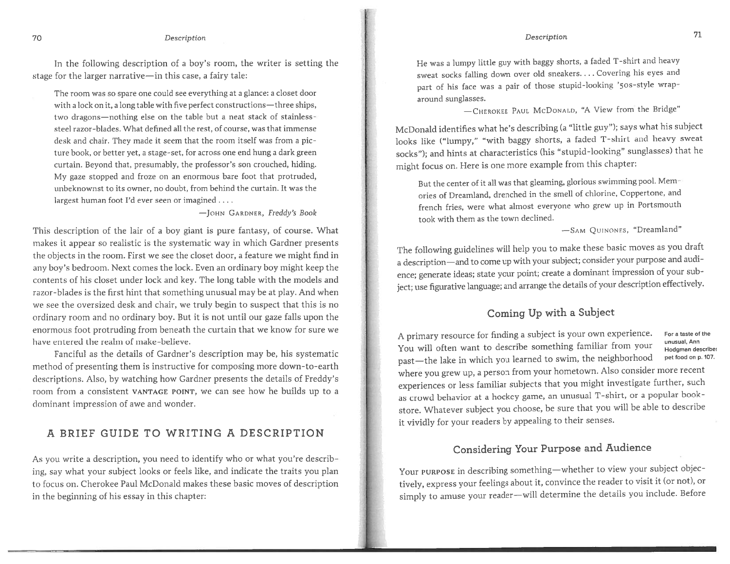#### <sup>70</sup> Description Description <sup>71</sup>

In the following description of <sup>a</sup> boy's room, the writer is setting the stage for the larger narrative—in this case, <sup>a</sup> fairy tale:

The room was so spare one could see everything at <sup>a</sup> glance: <sup>a</sup> closet door with <sup>a</sup> lock on it, <sup>a</sup> long table with five perfect constructions—three ships, two dragons—nothing else on the table but <sup>a</sup> neat stack of stainlesssteel razor-blades. What defined all the rest, of course, was that immense desk and chair. They made it seem that the room itself was from <sup>a</sup> pic ture book, or better yet, <sup>a</sup> stage-set, for across one end hung <sup>a</sup> dark green curtain. Beyond that, presumably, the professor's son crouched, hiding. My gaze stopped and froze on an enormous bare foot that protruded, unbeknownst to its owner, no doubt, from behind the curtain. It was the largest human foot I'd ever seen or imagined . . . .

#### —JoHN GARONER, Freddy's Book

This description of the lair of <sup>a</sup> boy giant is pure fantasy, of course. What makes it appear so realistic is the systematic way in which Gardner presents the objects in the room. First we see the closet door, <sup>a</sup> feature we might find in any boy's bedroom. Next comes the lock. Even an ordinary boy might keep the contents of his closet under lock and key. The long table with the models and razor-blades is the first hint that something unusual maybe at play. And when we see the oversized desk and chair, we truly begin to suspec<sup>t</sup> that this is no ordinary room and no ordinary boy. But it is not until our gaze falls upon the enormous foot protruding from beneath the curtain that we know for sure we have entered the realm of make-believe.

Fanciful as the details of Gardner's description may be, his systematic method of presenting them is instructive for composing more down-to-earth descriptions. Also, by watching how Gardner presents the details of Freddy's room from <sup>a</sup> consistent VANTAGE POINT, we can see how he builds up to <sup>a</sup> dominant impression of awe and wonder.

#### A BRIEF GUIDE TO WRITING A DESCRIPTION

As you write <sup>a</sup> description, you need to identify who or what you're describ ing, say what your subject looks or feels like, and indicate the traits you <sup>p</sup>lan to focus on. Cherokee Paul McDonald makes these basic moves of description in the beginning of his essay in this chapter:

He was <sup>a</sup> lumpy little guy with baggy shorts, <sup>a</sup> faded T-shirt and heavy sweat socks falling down over old sneakers. . . . Covering his eyes and part of his face was a pair of those stupid-looking '50s-style wraparound sunglasses.

—CHEROKEE PAUL McDONALD, "A View from the Bridge"

McDonald identifies what he's describing (a "little guy"); says what his subject looks like ("lumpy," "with baggy shorts, <sup>a</sup> faded T-shirt and heavy sweat socks"); and hints at characteristics (his "stupid-looking" sunglasses) that he might focus on. Here is one more example from this chapter:

But the center of it all was that <sup>g</sup>leaming, <sup>g</sup>lorious swimming pool. Mem ories of Dreamland, drenched in the smell of chlorine, Coppertone, and french fries, were what almost everyone who grew up in Portsmouth took with them as the town declined.

 $-$ SAM OUINONES, "Dreamland"

The following guidelines will help you to make these basic moves as you draft <sup>a</sup> description—and to come up with your subject; consider your purpose and audi ence; generate ideas; state your point; create <sup>a</sup> dominant impression of your sub ject; use figurative language; and arrange the details of your description effectively.

#### Coming Up with <sup>a</sup> Subject

A primary resource for finding a subject is your own experience. For a taste of the You will often want to describe something familiar from your unusual, Ann Hodgman describes<br>pet food on p. 107. past—the lake in which you learned to swim, the neighborhood where you grew up, <sup>a</sup> person from your hometown. Also consider more recent experiences or less familiar subjects that you might investigate further, such as crowd behavior at <sup>a</sup> hockey game, an unusual T-shirt, or <sup>a</sup> popular book store. Whatever subject you choose, be sure that you will be able to describe it vividly for your readers by appealing to their senses.

# Considering Your Purpose and Audience

Your PURPOSE in describing something—whether to view your subject objectively, express your feelings about it, convince the reader to visit it (or not), or simply to amuse your reader—will determine the details you include. Before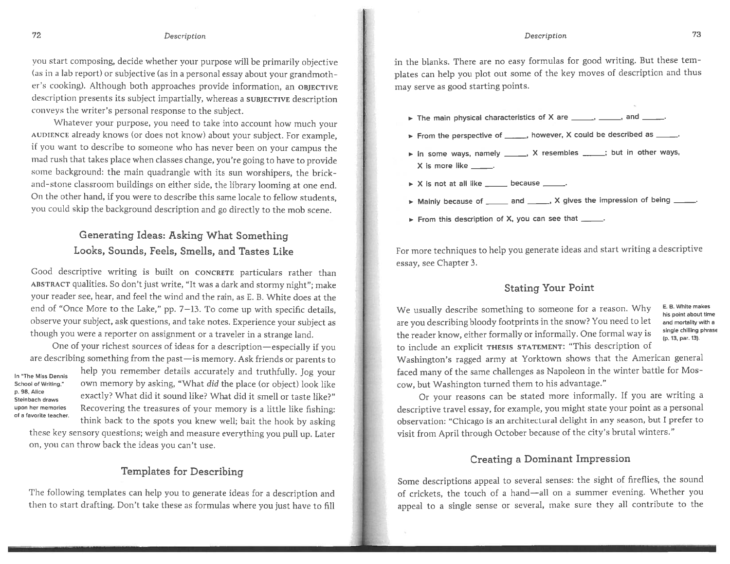you start composing, decide whether your purpose will he primarily objective (as in <sup>a</sup> lab report) or subjective (as in <sup>a</sup> persona<sup>l</sup> essay about your grandmoth er's cooking). Although both approaches provide information, an OBJECTIVE description presents its subject impartially, whereas <sup>a</sup> SUBJECTIVE description conveys the writer's personal response to the subject.

Whatever your purpose, you need to take into account how much your AUDIENCE already knows (or does not know) about your subject. For example, if you want to describe to someone who has never been on your campus the mad rush that takes <sup>p</sup>lace when classes change, you're going to have to provide some background: the main quadrangle with its sun worshipers, the brickand-stone classroom buildings on either side, the library looming at one end. On the other hand, if you were to describe this same locale to fellow students, you could skip the background description and go directly to the mob scene.

# Generating Ideas: Asking What Something Looks, Sounds, Feels, Smells, and Tastes Like

Good descriptive writing is built on CONCRETE particulars rather than ABSTRACT qualities. So don't just write, "It was <sup>a</sup> dark and stormy night"; make your reader see, hear, and feel the wind and the rain, as E. B. White does at the end of "Once More to the Lake," pp. 7—13. To come up with specific details, observe your subject, ask questions, and take notes. Experience your subject as though you were <sup>a</sup> reporter on assignment or <sup>a</sup> traveler in <sup>a</sup> strange land.

One of your richest sources of ideas for <sup>a</sup> description—especially if you are describing something from the past—is memory. Ask friends or parents to

In "The Miss Dennis help you remember details accurately and truthfully. Jog your School of Writing," own memory by asking, "What did the <sup>p</sup>lace (or object) look like p. 98, Alice . . . . Steinbach draws exactly? What did it sound like? What did it smell or taste like? upon her memories Recovering the treasures of your memory is <sup>a</sup> little like fishing: of <sup>a</sup> favorite teacher. . think back to the spots you knew well; bait the hook by asking

these key sensory questions; weigh and measure everything you pull up. Later on, you can throw back the ideas you can't use.

# Templates for Describing

The following templates can help you to generate ideas for <sup>a</sup> description and then to start drafting. Don't take these as formulas where you just have to fill in the blanks. There are no easy formulas for goo<sup>d</sup> writing. But these tem <sup>p</sup>lates can help you <sup>p</sup>lot out some of the key moves of description and thus may serve as goo<sup>d</sup> starting points. ng. But the<br>scription<br>and escription<br>
ormulas for good writing. But these<br>
of the key moves of description and<br>
s of X are \_\_\_\_\_\_, \_\_\_\_\_, and \_\_\_\_\_\_.<br>
however, X could be described as Description<br>
blanks. There are no easy formulas for good writing. But these<br>
can help you plot out some of the key moves of description and<br>
erve as good starting points.<br>
The main physical characteristics of X are \_\_\_\_\_, blanks. There are<br>can help you plot<br>erve as good startin<br>The main physical ch<br>From the perspective<br>in some ways, name<br>X is more like Dest<br>
blanks. There are no easy for<br>
can help you plot out some of<br>
erve as good starting points.<br>
The main physical characteristics<br>
From the perspective of <u>the physical</u>, he<br>
in some ways, namely the sumply the solution Description<br>
the blanks. There are no easy formulas for good writing. But the<br>
es can help you plot out some of the key moves of description a<br>
serve as good starting points.<br>
★ The main physical characteristics of X are Description<br>
the blanks. There are no easy formulas for good<br>
es can help you plot out some of the key moves<br>
y serve as good starting points.<br>
► The main physical characteristics of X are \_\_\_\_\_\_\_\_\_\_\_\_\_\_\_\_\_\_\_\_\_\_\_\_\_\_\_\_\_\_\_\_

- $\blacktriangleright$  The main physical characteristics of X are
- From the perspective of  $\_\_\_\_\$ , however, X could be described as  $\_\_\_\_\$ .
- 
- 
- > Mainly because of \_\_\_\_\_\_ and \_\_\_\_\_\_, X gives the impression of being \_\_\_\_\_.
- From this description of X, you can see that \_\_\_\_\_.

For more techniques to help you generate ideas and start writing <sup>a</sup> descriptive essay, see Chapter 3.

#### Stating Your Point

We usually describe something to someone for a reason. Why E.B. White makes his point about time are you describing bloody footprints in the snow? You need to let and mortality with a<br>and mortality with a single chilling phrase the reader know, either formally or informally. One formal way is  $\frac{\text{single children}}{(p. 13, \text{par. } 13)}$ . to include an explicit THESIS STATEMENT: "This description of

Washington's ragge<sup>d</sup> army at Yorktown shows that the American genera<sup>l</sup> faced many of the same challenges as Napoleon in the winter battle for Mos cow, but Washington turned them to his advantage."

Or your reasons can be stated more informally. If you are writing <sup>a</sup> descriptive travel essay, for example, you might state your point as <sup>a</sup> persona<sup>l</sup> observation: "Chicago is an architectural delight in any season, but <sup>I</sup> prefer to visit from April through October because of the city's brutal winters."

#### Creating <sup>a</sup> Dominant Impression

Some descriptions appea<sup>l</sup> to several senses: the sight of fireflies, the sound of crickets, the touch of <sup>a</sup> hand—all on <sup>a</sup> summer evening. Whether you appea<sup>l</sup> to <sup>a</sup> single sense or several, make sure they all contribute to the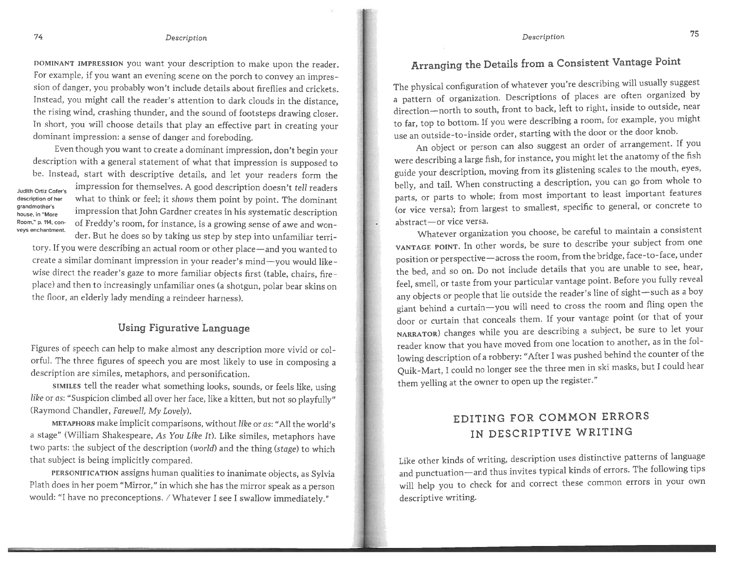### <sup>74</sup> Description Description <sup>75</sup>

DOMINANT IMPRESSION you want your description to make upon the reader. For example, if you want an evening scene on the porc<sup>h</sup> to convey an impres sion of danger, you probably won't include details about fireflies and crickets. Instead, you might call the reader's attention to dark clouds in the distance, the rising wind, crashing thunder, and the sound of footsteps drawing closer. In short, you will choose details that <sup>p</sup>lay an effective par<sup>t</sup> in creating your dominant impression: <sup>a</sup> sense of danger and foreboding.

Even though you want to create <sup>a</sup> dominant impression, don't begin your description with <sup>a</sup> genera<sup>l</sup> statement of what that impression is suppose<sup>d</sup> to he. Instead, start with descriptive details, and let your readers form the

Judith Ortiz Cofer's impression for themselves. A good description doesn't *tell* readers description of her what to think or feel; it shows them point by point. The dominant grandmother's house, in "More impression that John Gardner creates in his systematic description Room," p. 114, con- of Freddy's room, fo reys enchantment. der. But he does so by taking us step by step into unfamiliar terri-

tory. If you were describing an actual room or other <sup>p</sup>lace—and you wanted to create <sup>a</sup> similar dominant impression in your reader's mind—you would like wise direct the reader's gaze to more familiar objects first (table, chairs, fire <sup>p</sup>lace) and then to increasingly unfamiliar ones (a shotgun, polar bear skins on the floor, an elderly lady mending <sup>a</sup> reindeer harness).

# Using Figurative Language

Figures of speec<sup>h</sup> can help to make almost any description more vivid or col orful. The three figures of speec<sup>h</sup> you are most likely to use in composing <sup>a</sup> description are similes, metaphors, and personification.

SIMILES tell the reader what something looks, sounds, or feels like, using like or as: "Suspicion climbed all over her face, like a kitten, but not so playfully" (Raymond Chandler, Farewell, My Lovely).

METAPHORS make implicit comparisons, without like or as: "All the world's <sup>a</sup> stage" (William Shakespeare, As You Like It). Like similes, metaphors have two parts: the subject of the description (world) and the thing (stage) to which that subject is being implicitly compared.

PERSONIFICATION assigns human qualities to inanimate objects, as Sylvia Plath does in her poem "Mirror," in which she has the mirror speak as <sup>a</sup> person would: "I have no preconceptions. / Whatever <sup>I</sup> see <sup>I</sup> swallow immediately."

# Arranging the Details from <sup>a</sup> Consistent Vantage Point

The <sup>p</sup>hysical configuration of whatever you're describing will usually sugges<sup>t</sup> <sup>a</sup> pattern of organization. Descriptions of <sup>p</sup>laces are often organized by direction—north to south, front to back, left to right, inside to outside, near to far, top to bottom. If you were describing <sup>a</sup> room, for example, you might use an outside-to-inside order, starting with the door or the door knob.

An object or person can also sugges<sup>t</sup> an order of arrangement. If you were describing <sup>a</sup> large fish, for instance, you might let the anatomy of the fish guide your description, moving from its <sup>g</sup>listening scales to the mouth, eyes, belly, and tail. When constructing <sup>a</sup> description, you can go from whole to parts, or parts to whole; from most important to least important features (or vice versa); from largest to smallest, specific to general, or concrete to abstract—or vice versa.

Whatever organization you choose, be careful to maintain <sup>a</sup> consistent VANTAGE POINT. In other words, be sure to describe your subject from one position or perspective—across the room, from the bridge, face-to-face, under the bed, and so on. Do not include details that you are unable to see, hear, feel, smell, or taste from your particular vantage point. Before you fully reveal any objects or people that lie outside the reader's line of sight—such as <sup>a</sup> boy <sup>g</sup>iant behind <sup>a</sup> curtain—you will need to cross the room and fling open the door or curtain that conceals them. If your vantage point (or that of your NARRATOR) changes while you are describing <sup>a</sup> subject, be sure to let your reader know that you have moved from one location to another, as in the fol lowing description of <sup>a</sup> robbery: "After <sup>I</sup> was pushed behind the counter of the Quik-Mart, <sup>I</sup> could no longer see the three men in ski masks, but <sup>I</sup> could hear them yelling at the owner to open up the register."

# EDITING FOR COMMON ERRORS IN DESCRIPTIVE WRITING

Like other kinds of writing, description uses distinctive patterns of language and punctuation—and thus invites typical kinds of errors. The following tips will help you to check for and correct these common errors in your own descriptive writing.

L